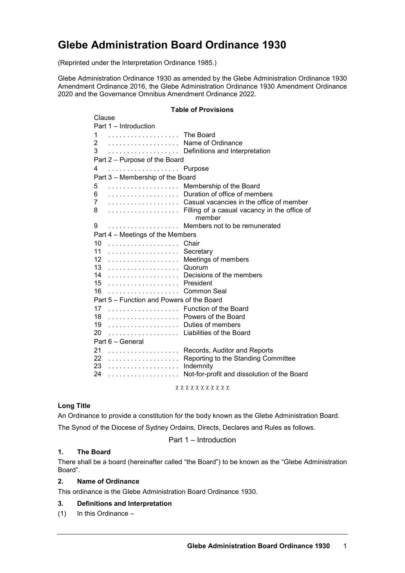# **Glebe Administration Board Ordinance 1930**

(Reprinted under the Interpretation Ordinance 1985.)

Glebe Administration Ordinance 1930 as amended by the Glebe Administration Ordinance 1930 Amendment Ordinance 2016, the Glebe Administration Ordinance 1930 Amendment Ordinance 2020 and the Governance Omnibus Amendment Ordinance 2022.

#### **Table of Provisions**

| Clause                                    |           |                                              |  |
|-------------------------------------------|-----------|----------------------------------------------|--|
| Part 1 - Introduction                     |           |                                              |  |
| 1                                         | The Board |                                              |  |
| 2                                         | .         | Name of Ordinance                            |  |
| 3                                         | .         | Definitions and Interpretation               |  |
| Part 2 - Purpose of the Board             |           |                                              |  |
| 4                                         | .         | Purpose                                      |  |
| Part 3 - Membership of the Board          |           |                                              |  |
| 5                                         | .         | Membership of the Board                      |  |
| 6                                         | .         | Duration of office of members                |  |
| 7                                         | .         | Casual vacancies in the office of member     |  |
| 8                                         | .         | Filling of a casual vacancy in the office of |  |
|                                           |           | member                                       |  |
| 9                                         | .         | Members not to be remunerated                |  |
| Part 4 - Meetings of the Members          |           |                                              |  |
| 10                                        | .         | Chair                                        |  |
| 11                                        | .         | Secretary                                    |  |
| 12                                        | .         | Meetings of members                          |  |
| 13                                        | .         | Quorum                                       |  |
| 14                                        | .         | Decisions of the members                     |  |
| 15                                        | .         | President                                    |  |
| 16                                        | .         | Common Seal                                  |  |
| Part 5 - Function and Powers of the Board |           |                                              |  |
| 17                                        | .         | Function of the Board                        |  |
| 18                                        | .         | Powers of the Board                          |  |
| 19                                        | .         | Duties of members                            |  |
| 20                                        | .         | Liabilities of the Board                     |  |
| Part 6 - General                          |           |                                              |  |
| 21                                        | .         | Records, Auditor and Reports                 |  |
| 22                                        | .         | Reporting to the Standing Committee          |  |
| 23                                        | .         | Indemnity                                    |  |
| 24                                        | .         | Not-for-profit and dissolution of the Board  |  |
| x x x x x x x x x x x                     |           |                                              |  |

# **Long Title**

An Ordinance to provide a constitution for the body known as the Glebe Administration Board.

The Synod of the Diocese of Sydney Ordains, Directs, Declares and Rules as follows.

Part 1 – Introduction

## **1. The Board**

There shall be a board (hereinafter called "the Board") to be known as the "Glebe Administration Board".

## **2. Name of Ordinance**

This ordinance is the Glebe Administration Board Ordinance 1930.

## **3. Definitions and Interpretation**

(1) In this Ordinance –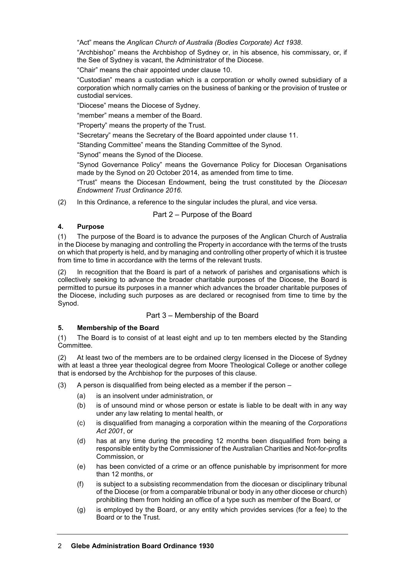"Act" means the *Anglican Church of Australia (Bodies Corporate) Act 1938*.

"Archbishop" means the Archbishop of Sydney or, in his absence, his commissary, or, if the See of Sydney is vacant, the Administrator of the Diocese.

"Chair" means the chair appointed under clause 10.

"Custodian" means a custodian which is a corporation or wholly owned subsidiary of a corporation which normally carries on the business of banking or the provision of trustee or custodial services.

"Diocese" means the Diocese of Sydney.

"member" means a member of the Board.

"Property" means the property of the Trust.

"Secretary" means the Secretary of the Board appointed under clause 11.

"Standing Committee" means the Standing Committee of the Synod.

"Synod" means the Synod of the Diocese.

"Synod Governance Policy" means the Governance Policy for Diocesan Organisations made by the Synod on 20 October 2014, as amended from time to time.

"Trust" means the Diocesan Endowment, being the trust constituted by the *Diocesan Endowment Trust Ordinance 2016.*

(2) In this Ordinance, a reference to the singular includes the plural, and vice versa.

## Part 2 – Purpose of the Board

## **4. Purpose**

(1) The purpose of the Board is to advance the purposes of the Anglican Church of Australia in the Diocese by managing and controlling the Property in accordance with the terms of the trusts on which that property is held, and by managing and controlling other property of which it is trustee from time to time in accordance with the terms of the relevant trusts.

(2) In recognition that the Board is part of a network of parishes and organisations which is collectively seeking to advance the broader charitable purposes of the Diocese, the Board is permitted to pursue its purposes in a manner which advances the broader charitable purposes of the Diocese, including such purposes as are declared or recognised from time to time by the Synod.

## Part 3 – Membership of the Board

## **5. Membership of the Board**

(1) The Board is to consist of at least eight and up to ten members elected by the Standing Committee.

(2) At least two of the members are to be ordained clergy licensed in the Diocese of Sydney with at least a three year theological degree from Moore Theological College or another college that is endorsed by the Archbishop for the purposes of this clause.

- (3) A person is disqualified from being elected as a member if the person  $-$ 
	- (a) is an insolvent under administration, or
	- (b) is of unsound mind or whose person or estate is liable to be dealt with in any way under any law relating to mental health, or
	- (c) is disqualified from managing a corporation within the meaning of the *Corporations Act 2001*, or
	- (d) has at any time during the preceding 12 months been disqualified from being a responsible entity by the Commissioner of the Australian Charities and Not-for-profits Commission, or
	- (e) has been convicted of a crime or an offence punishable by imprisonment for more than 12 months, or
	- (f) is subject to a subsisting recommendation from the diocesan or disciplinary tribunal of the Diocese (or from a comparable tribunal or body in any other diocese or church) prohibiting them from holding an office of a type such as member of the Board, or
	- (g) is employed by the Board, or any entity which provides services (for a fee) to the Board or to the Trust.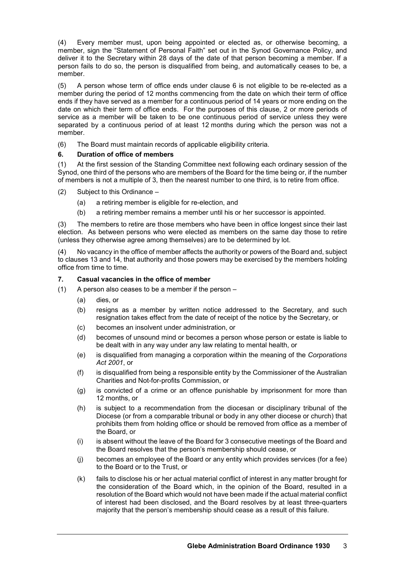(4) Every member must, upon being appointed or elected as, or otherwise becoming, a member, sign the "Statement of Personal Faith" set out in the Synod Governance Policy, and deliver it to the Secretary within 28 days of the date of that person becoming a member. If a person fails to do so, the person is disqualified from being, and automatically ceases to be, a member.

(5) A person whose term of office ends under clause 6 is not eligible to be re-elected as a member during the period of 12 months commencing from the date on which their term of office ends if they have served as a member for a continuous period of 14 years or more ending on the date on which their term of office ends. For the purposes of this clause, 2 or more periods of service as a member will be taken to be one continuous period of service unless they were separated by a continuous period of at least 12 months during which the person was not a member.

(6) The Board must maintain records of applicable eligibility criteria.

# **6. Duration of office of members**

(1) At the first session of the Standing Committee next following each ordinary session of the Synod, one third of the persons who are members of the Board for the time being or, if the number of members is not a multiple of 3, then the nearest number to one third, is to retire from office.

(2) Subject to this Ordinance –

- (a) a retiring member is eligible for re-election, and
- (b) a retiring member remains a member until his or her successor is appointed.

(3) The members to retire are those members who have been in office longest since their last election. As between persons who were elected as members on the same day those to retire (unless they otherwise agree among themselves) are to be determined by lot.

(4) No vacancy in the office of member affects the authority or powers of the Board and, subject to clauses 13 and 14, that authority and those powers may be exercised by the members holding office from time to time.

# **7. Casual vacancies in the office of member**

(1) A person also ceases to be a member if the person –

- (a) dies, or
- (b) resigns as a member by written notice addressed to the Secretary, and such resignation takes effect from the date of receipt of the notice by the Secretary, or
- (c) becomes an insolvent under administration, or
- (d) becomes of unsound mind or becomes a person whose person or estate is liable to be dealt with in any way under any law relating to mental health, or
- (e) is disqualified from managing a corporation within the meaning of the *Corporations Act 2001*, or
- (f) is disqualified from being a responsible entity by the Commissioner of the Australian Charities and Not-for-profits Commission, or
- (g) is convicted of a crime or an offence punishable by imprisonment for more than 12 months, or
- (h) is subject to a recommendation from the diocesan or disciplinary tribunal of the Diocese (or from a comparable tribunal or body in any other diocese or church) that prohibits them from holding office or should be removed from office as a member of the Board, or
- (i) is absent without the leave of the Board for 3 consecutive meetings of the Board and the Board resolves that the person's membership should cease, or
- (j) becomes an employee of the Board or any entity which provides services (for a fee) to the Board or to the Trust, or
- (k) fails to disclose his or her actual material conflict of interest in any matter brought for the consideration of the Board which, in the opinion of the Board, resulted in a resolution of the Board which would not have been made if the actual material conflict of interest had been disclosed, and the Board resolves by at least three-quarters majority that the person's membership should cease as a result of this failure.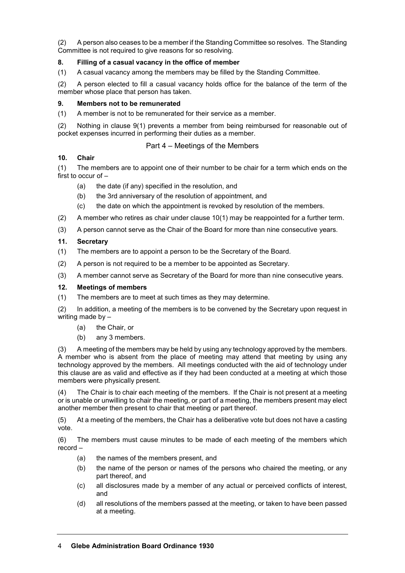(2) A person also ceases to be a member if the Standing Committee so resolves. The Standing Committee is not required to give reasons for so resolving.

## **8. Filling of a casual vacancy in the office of member**

(1) A casual vacancy among the members may be filled by the Standing Committee.

(2) A person elected to fill a casual vacancy holds office for the balance of the term of the member whose place that person has taken.

## **9. Members not to be remunerated**

(1) A member is not to be remunerated for their service as a member.

(2) Nothing in clause 9(1) prevents a member from being reimbursed for reasonable out of pocket expenses incurred in performing their duties as a member.

# Part 4 – Meetings of the Members

## **10. Chair**

(1) The members are to appoint one of their number to be chair for a term which ends on the first to occur of –

- (a) the date (if any) specified in the resolution, and
- (b) the 3rd anniversary of the resolution of appointment, and
- (c) the date on which the appointment is revoked by resolution of the members.
- (2) A member who retires as chair under clause 10(1) may be reappointed for a further term.
- (3) A person cannot serve as the Chair of the Board for more than nine consecutive years.

# **11. Secretary**

- (1) The members are to appoint a person to be the Secretary of the Board.
- (2) A person is not required to be a member to be appointed as Secretary.
- (3) A member cannot serve as Secretary of the Board for more than nine consecutive years.

#### **12. Meetings of members**

(1) The members are to meet at such times as they may determine.

(2) In addition, a meeting of the members is to be convened by the Secretary upon request in writing made by -

- (a) the Chair, or
- (b) any 3 members.

(3) A meeting of the members may be held by using any technology approved by the members. A member who is absent from the place of meeting may attend that meeting by using any technology approved by the members. All meetings conducted with the aid of technology under this clause are as valid and effective as if they had been conducted at a meeting at which those members were physically present.

(4) The Chair is to chair each meeting of the members. If the Chair is not present at a meeting or is unable or unwilling to chair the meeting, or part of a meeting, the members present may elect another member then present to chair that meeting or part thereof.

(5) At a meeting of the members, the Chair has a deliberative vote but does not have a casting vote.

(6) The members must cause minutes to be made of each meeting of the members which record –

- (a) the names of the members present, and
- (b) the name of the person or names of the persons who chaired the meeting, or any part thereof, and
- (c) all disclosures made by a member of any actual or perceived conflicts of interest, and
- (d) all resolutions of the members passed at the meeting, or taken to have been passed at a meeting.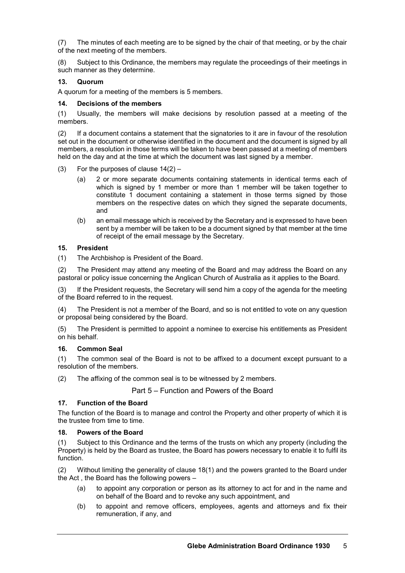(7) The minutes of each meeting are to be signed by the chair of that meeting, or by the chair of the next meeting of the members.

(8) Subject to this Ordinance, the members may regulate the proceedings of their meetings in such manner as they determine.

## **13. Quorum**

A quorum for a meeting of the members is 5 members.

#### **14. Decisions of the members**

(1) Usually, the members will make decisions by resolution passed at a meeting of the members.

(2) If a document contains a statement that the signatories to it are in favour of the resolution set out in the document or otherwise identified in the document and the document is signed by all members, a resolution in those terms will be taken to have been passed at a meeting of members held on the day and at the time at which the document was last signed by a member.

- (3) For the purposes of clause  $14(2)$ 
	- (a) 2 or more separate documents containing statements in identical terms each of which is signed by 1 member or more than 1 member will be taken together to constitute 1 document containing a statement in those terms signed by those members on the respective dates on which they signed the separate documents, and
	- (b) an email message which is received by the Secretary and is expressed to have been sent by a member will be taken to be a document signed by that member at the time of receipt of the email message by the Secretary.

## **15. President**

(1) The Archbishop is President of the Board.

(2) The President may attend any meeting of the Board and may address the Board on any pastoral or policy issue concerning the Anglican Church of Australia as it applies to the Board.

(3) If the President requests, the Secretary will send him a copy of the agenda for the meeting of the Board referred to in the request.

(4) The President is not a member of the Board, and so is not entitled to vote on any question or proposal being considered by the Board.

(5) The President is permitted to appoint a nominee to exercise his entitlements as President on his behalf.

## **16. Common Seal**

(1) The common seal of the Board is not to be affixed to a document except pursuant to a resolution of the members.

(2) The affixing of the common seal is to be witnessed by 2 members.

Part 5 – Function and Powers of the Board

## **17. Function of the Board**

The function of the Board is to manage and control the Property and other property of which it is the trustee from time to time.

## **18. Powers of the Board**

Subject to this Ordinance and the terms of the trusts on which any property (including the Property) is held by the Board as trustee, the Board has powers necessary to enable it to fulfil its function.

(2) Without limiting the generality of clause 18(1) and the powers granted to the Board under the Act , the Board has the following powers –

- (a) to appoint any corporation or person as its attorney to act for and in the name and on behalf of the Board and to revoke any such appointment, and
- (b) to appoint and remove officers, employees, agents and attorneys and fix their remuneration, if any, and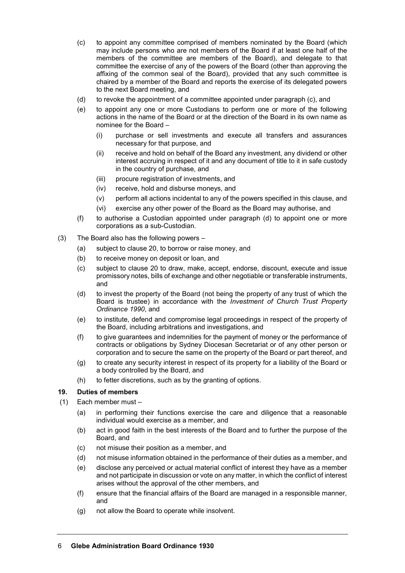- (c) to appoint any committee comprised of members nominated by the Board (which may include persons who are not members of the Board if at least one half of the members of the committee are members of the Board), and delegate to that committee the exercise of any of the powers of the Board (other than approving the affixing of the common seal of the Board), provided that any such committee is chaired by a member of the Board and reports the exercise of its delegated powers to the next Board meeting, and
- (d) to revoke the appointment of a committee appointed under paragraph (c), and
- (e) to appoint any one or more Custodians to perform one or more of the following actions in the name of the Board or at the direction of the Board in its own name as nominee for the Board –
	- (i) purchase or sell investments and execute all transfers and assurances necessary for that purpose, and
	- (ii) receive and hold on behalf of the Board any investment, any dividend or other interest accruing in respect of it and any document of title to it in safe custody in the country of purchase, and
	- (iii) procure registration of investments, and
	- (iv) receive, hold and disburse moneys, and
	- (v) perform all actions incidental to any of the powers specified in this clause, and
	- (vi) exercise any other power of the Board as the Board may authorise, and
- (f) to authorise a Custodian appointed under paragraph (d) to appoint one or more corporations as a sub-Custodian.
- (3) The Board also has the following powers
	- (a) subject to clause 20, to borrow or raise money, and
	- (b) to receive money on deposit or loan, and
	- (c) subject to clause 20 to draw, make, accept, endorse, discount, execute and issue promissory notes, bills of exchange and other negotiable or transferable instruments, and
	- (d) to invest the property of the Board (not being the property of any trust of which the Board is trustee) in accordance with the *Investment of Church Trust Property Ordinance 1990*, and
	- (e) to institute, defend and compromise legal proceedings in respect of the property of the Board, including arbitrations and investigations, and
	- (f) to give guarantees and indemnities for the payment of money or the performance of contracts or obligations by Sydney Diocesan Secretariat or of any other person or corporation and to secure the same on the property of the Board or part thereof, and
	- (g) to create any security interest in respect of its property for a liability of the Board or a body controlled by the Board, and
	- (h) to fetter discretions, such as by the granting of options.

## **19. Duties of members**

- (1) Each member must
	- (a) in performing their functions exercise the care and diligence that a reasonable individual would exercise as a member, and
	- (b) act in good faith in the best interests of the Board and to further the purpose of the Board, and
	- (c) not misuse their position as a member, and
	- (d) not misuse information obtained in the performance of their duties as a member, and
	- (e) disclose any perceived or actual material conflict of interest they have as a member and not participate in discussion or vote on any matter, in which the conflict of interest arises without the approval of the other members, and
	- (f) ensure that the financial affairs of the Board are managed in a responsible manner, and
	- (g) not allow the Board to operate while insolvent.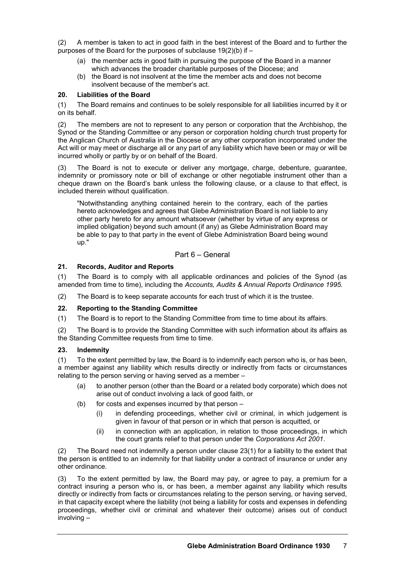(2) A member is taken to act in good faith in the best interest of the Board and to further the purposes of the Board for the purposes of subclause 19(2)(b) if –

- (a) the member acts in good faith in pursuing the purpose of the Board in a manner which advances the broader charitable purposes of the Diocese; and
- (b) the Board is not insolvent at the time the member acts and does not become insolvent because of the member's act.

## **20. Liabilities of the Board**

(1) The Board remains and continues to be solely responsible for all liabilities incurred by it or on its behalf.

(2) The members are not to represent to any person or corporation that the Archbishop, the Synod or the Standing Committee or any person or corporation holding church trust property for the Anglican Church of Australia in the Diocese or any other corporation incorporated under the Act will or may meet or discharge all or any part of any liability which have been or may or will be incurred wholly or partly by or on behalf of the Board.

(3) The Board is not to execute or deliver any mortgage, charge, debenture, guarantee, indemnity or promissory note or bill of exchange or other negotiable instrument other than a cheque drawn on the Board's bank unless the following clause, or a clause to that effect, is included therein without qualification.

"Notwithstanding anything contained herein to the contrary, each of the parties hereto acknowledges and agrees that Glebe Administration Board is not liable to any other party hereto for any amount whatsoever (whether by virtue of any express or implied obligation) beyond such amount (if any) as Glebe Administration Board may be able to pay to that party in the event of Glebe Administration Board being wound up."

# Part 6 – General

#### **21. Records, Auditor and Reports**

(1) The Board is to comply with all applicable ordinances and policies of the Synod (as amended from time to time), including the *Accounts, Audits & Annual Reports Ordinance 1995*.

(2) The Board is to keep separate accounts for each trust of which it is the trustee.

## **22. Reporting to the Standing Committee**

(1) The Board is to report to the Standing Committee from time to time about its affairs.

(2) The Board is to provide the Standing Committee with such information about its affairs as the Standing Committee requests from time to time.

## **23. Indemnity**

(1) To the extent permitted by law, the Board is to indemnify each person who is, or has been, a member against any liability which results directly or indirectly from facts or circumstances relating to the person serving or having served as a member –

- (a) to another person (other than the Board or a related body corporate) which does not arise out of conduct involving a lack of good faith, or
- (b) for costs and expenses incurred by that person
	- (i) in defending proceedings, whether civil or criminal, in which judgement is given in favour of that person or in which that person is acquitted, or
	- (ii) in connection with an application, in relation to those proceedings, in which the court grants relief to that person under the *Corporations Act 2001*.

(2) The Board need not indemnify a person under clause 23(1) for a liability to the extent that the person is entitled to an indemnity for that liability under a contract of insurance or under any other ordinance.

(3) To the extent permitted by law, the Board may pay, or agree to pay, a premium for a contract insuring a person who is, or has been, a member against any liability which results directly or indirectly from facts or circumstances relating to the person serving, or having served, in that capacity except where the liability (not being a liability for costs and expenses in defending proceedings, whether civil or criminal and whatever their outcome) arises out of conduct involving –